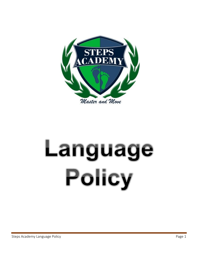

# Language Policy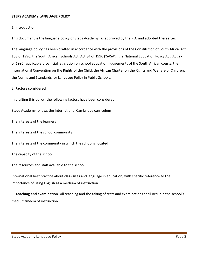### **STEPS ACADEMY LANGUAGE POLICY**

### 1. **Introduction**

This document is the language policy of Steps Academy, as approved by the PLC and adopted thereafter.

The language policy has been drafted in accordance with the provisions of the Constitution of South Africa, Act 108 of 1996; the South African Schools Act, Act 84 of 1996 ('SASA'); the National Education Policy Act, Act 27 of 1996; applicable provincial legislation on school education; judgements of the South African courts; the International Convention on the Rights of the Child; the African Charter on the Rights and Welfare of Children; the Norms and Standards for Language Policy in Public Schools,

### 2. **Factors considered**

In drafting this policy, the following factors have been considered:

Steps Academy follows the International Cambridge curriculum

The interests of the learners

The interests of the school community

The interests of the community in which the school is located

The capacity of the school

The resources and staff available to the school

International best practice about class sizes and language in education, with specific reference to the importance of using English as a medium of instruction.

3. Teaching and examination All teaching and the taking of tests and examinations shall occur in the school's medium/media of instruction.